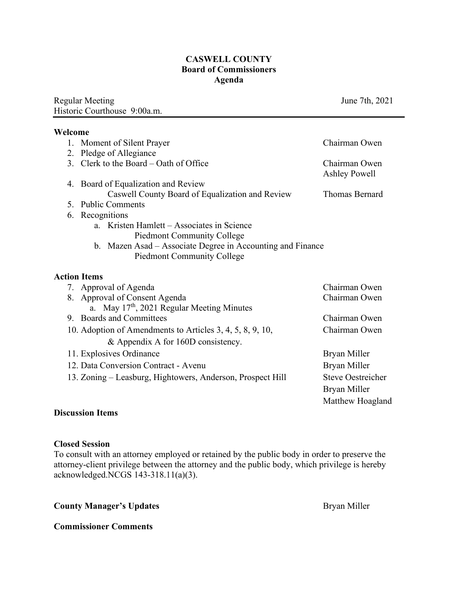#### **CASWELL COUNTY Board of Commissioners Agenda**

Regular Meeting June 7th, 2021 Historic Courthouse 9:00a.m.

#### **Welcome**

| 1. | Moment of Silent Prayer                                    | Chairman Owen                         |
|----|------------------------------------------------------------|---------------------------------------|
| 2. | Pledge of Allegiance                                       |                                       |
|    | 3. Clerk to the Board – Oath of Office                     | Chairman Owen<br><b>Ashley Powell</b> |
|    | 4. Board of Equalization and Review                        |                                       |
|    | Caswell County Board of Equalization and Review            | <b>Thomas Bernard</b>                 |
| 5. | <b>Public Comments</b>                                     |                                       |
| 6. | Recognitions                                               |                                       |
|    | a. Kristen Hamlett – Associates in Science                 |                                       |
|    | <b>Piedmont Community College</b>                          |                                       |
|    | b. Mazen Asad – Associate Degree in Accounting and Finance |                                       |
|    | <b>Piedmont Community College</b>                          |                                       |
|    | <b>Action Items</b>                                        |                                       |
|    | 7. Approval of Agenda                                      | Chairman Owen                         |
|    | 8. Approval of Consent Agenda                              | Chairman Owen                         |
|    | a. May 17 <sup>th</sup> , 2021 Regular Meeting Minutes     |                                       |
|    | 9. Boards and Committees                                   | Chairman Owen                         |
|    | 10. Adoption of Amendments to Articles 3, 4, 5, 8, 9, 10,  | Chairman Owen                         |
|    | & Appendix A for 160D consistency.                         |                                       |
|    | 11. Explosives Ordinance                                   | Bryan Miller                          |
|    | 12. Data Conversion Contract - Avenu                       | Bryan Miller                          |
|    | 13. Zoning – Leasburg, Hightowers, Anderson, Prospect Hill | <b>Steve Oestreicher</b>              |
|    |                                                            | Bryan Miller                          |
|    |                                                            | Matthew Hoagland                      |

## **Discussion Items**

#### **Closed Session**

To consult with an attorney employed or retained by the public body in order to preserve the attorney-client privilege between the attorney and the public body, which privilege is hereby acknowledged.NCGS 143-318.11(a)(3).

### **County Manager's Updates Bryan Miller** Bryan Miller

#### **Commissioner Comments**